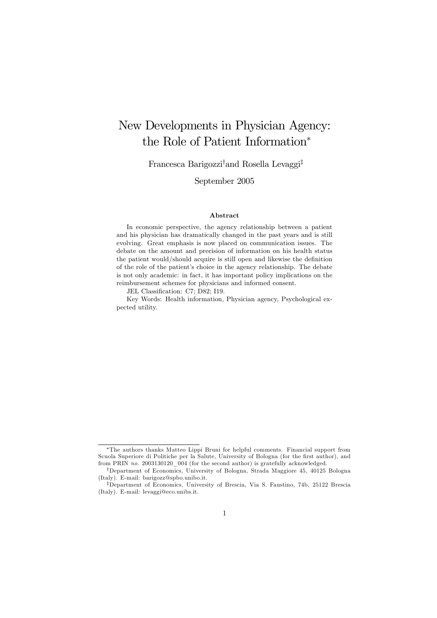# New Developments in Physician Agency: the Role of Patient Information<sup>∗</sup>

Francesca Barigozzi† and Rosella Levaggi‡

September 2005

#### Abstract

In economic perspective, the agency relationship between a patient and his physician has dramatically changed in the past years and is still evolving. Great emphasis is now placed on communication issues. The debate on the amount and precision of information on his health status the patient would/should acquire is still open and likewise the definition of the role of the patient's choice in the agency relationship. The debate is not only academic: in fact, it has important policy implications on the reimbursement schemes for physicians and informed consent.

JEL Classification: C7; D82; I19.

Key Words: Health information, Physician agency, Psychological expected utility.

<sup>∗</sup>The authors thanks Matteo Lippi Bruni for helpful comments. Financial support from Scuola Superiore di Politiche per la Salute, University of Bologna (for the first author), and from PRIN no. 2003130120 004 (for the second author) is gratefully acknowledged.

<sup>†</sup>Department of Economics, University of Bologna, Strada Maggiore 45, 40125 Bologna (Italy). E-mail: barigozz@spbo.unibo.it.

<sup>‡</sup>Department of Economics, University of Brescia, Via S. Faustino, 74b, 25122 Brescia (Italy). E-mail: levaggi@eco.unibs.it.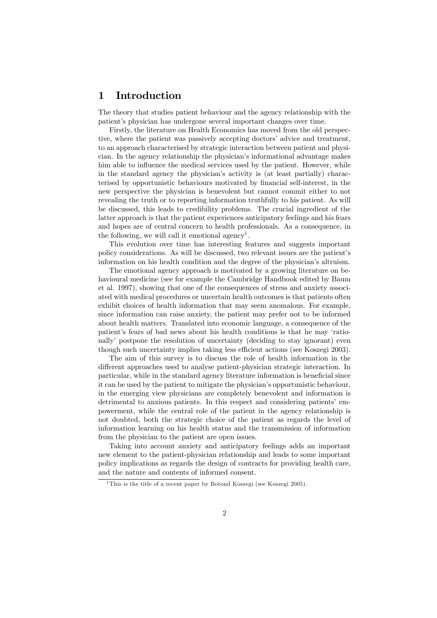### 1 Introduction

The theory that studies patient behaviour and the agency relationship with the patient's physician has undergone several important changes over time.

Firstly, the literature on Health Economics has moved from the old perspective, where the patient was passively accepting doctors' advice and treatment, to an approach characterised by strategic interaction between patient and physician. In the agency relationship the physician's informational advantage makes him able to influence the medical services used by the patient. However, while in the standard agency the physician's activity is (at least partially) characterised by opportunistic behaviours motivated by financial self-interest, in the new perspective the physician is benevolent but cannot commit either to not revealing the truth or to reporting information truthfully to his patient. As will be discussed, this leads to credibility problems. The crucial ingredient of the latter approach is that the patient experiences anticipatory feelings and his fears and hopes are of central concern to health professionals. As a consequence, in the following, we will call it emotional agency<sup>1</sup>.

This evolution over time has interesting features and suggests important policy considerations. As will be discussed, two relevant issues are the patient's information on his health condition and the degree of the physician's altruism.

The emotional agency approach is motivated by a growing literature on behavioural medicine (see for example the Cambridge Handbook edited by Baum et al. 1997), showing that one of the consequences of stress and anxiety associated with medical procedures or uncertain health outcomes is that patients often exhibit choices of health information that may seem anomalous. For example, since information can raise anxiety, the patient may prefer not to be informed about health matters. Translated into economic language, a consequence of the patient's fears of bad news about his health conditions is that he may 'rationally' postpone the resolution of uncertainty (deciding to stay ignorant) even though such uncertainty implies taking less efficient actions (see Koszegi 2003).

The aim of this survey is to discuss the role of health information in the different approaches used to analyse patient-physician strategic interaction. In particular, while in the standard agency literature information is beneficial since it can be used by the patient to mitigate the physician's opportunistic behaviour, in the emerging view physicians are completely benevolent and information is detrimental to anxious patients. In this respect and considering patients' empowerment, while the central role of the patient in the agency relationship is not doubted, both the strategic choice of the patient as regards the level of information learning on his health status and the transmission of information from the physician to the patient are open issues.

Taking into account anxiety and anticipatory feelings adds an important new element to the patient-physician relationship and leads to some important policy implications as regards the design of contracts for providing health care, and the nature and contents of informed consent.

<sup>&</sup>lt;sup>1</sup>This is the title of a recent paper by Botond Koszegi (see Koszegi 2005).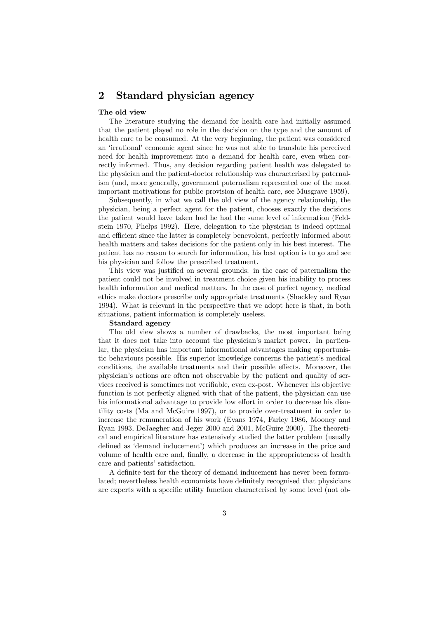### 2 Standard physician agency

#### The old view

The literature studying the demand for health care had initially assumed that the patient played no role in the decision on the type and the amount of health care to be consumed. At the very beginning, the patient was considered an 'irrational' economic agent since he was not able to translate his perceived need for health improvement into a demand for health care, even when correctly informed. Thus, any decision regarding patient health was delegated to the physician and the patient-doctor relationship was characterised by paternalism (and, more generally, government paternalism represented one of the most important motivations for public provision of health care, see Musgrave 1959).

Subsequently, in what we call the old view of the agency relationship, the physician, being a perfect agent for the patient, chooses exactly the decisions the patient would have taken had he had the same level of information (Feldstein 1970, Phelps 1992). Here, delegation to the physician is indeed optimal and efficient since the latter is completely benevolent, perfectly informed about health matters and takes decisions for the patient only in his best interest. The patient has no reason to search for information, his best option is to go and see his physician and follow the prescribed treatment.

This view was justified on several grounds: in the case of paternalism the patient could not be involved in treatment choice given his inability to process health information and medical matters. In the case of perfect agency, medical ethics make doctors prescribe only appropriate treatments (Shackley and Ryan 1994). What is relevant in the perspective that we adopt here is that, in both situations, patient information is completely useless.

#### Standard agency

The old view shows a number of drawbacks, the most important being that it does not take into account the physician's market power. In particular, the physician has important informational advantages making opportunistic behaviours possible. His superior knowledge concerns the patient's medical conditions, the available treatments and their possible effects. Moreover, the physician's actions are often not observable by the patient and quality of services received is sometimes not verifiable, even ex-post. Whenever his objective function is not perfectly aligned with that of the patient, the physician can use his informational advantage to provide low effort in order to decrease his disutility costs (Ma and McGuire 1997), or to provide over-treatment in order to increase the remuneration of his work (Evans 1974, Farley 1986, Mooney and Ryan 1993, DeJaegher and Jeger 2000 and 2001, McGuire 2000). The theoretical and empirical literature has extensively studied the latter problem (usually defined as 'demand inducement') which produces an increase in the price and volume of health care and, finally, a decrease in the appropriateness of health care and patients' satisfaction.

A definite test for the theory of demand inducement has never been formulated; nevertheless health economists have definitely recognised that physicians are experts with a specific utility function characterised by some level (not ob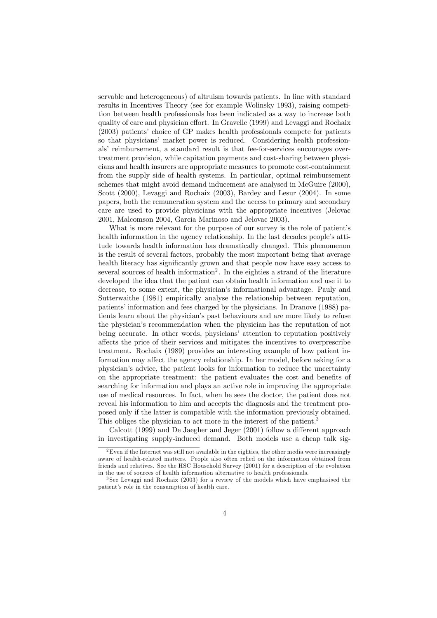servable and heterogeneous) of altruism towards patients. In line with standard results in Incentives Theory (see for example Wolinsky 1993), raising competition between health professionals has been indicated as a way to increase both quality of care and physician effort. In Gravelle (1999) and Levaggi and Rochaix (2003) patients' choice of GP makes health professionals compete for patients so that physicians' market power is reduced. Considering health professionals' reimbursement, a standard result is that fee-for-services encourages overtreatment provision, while capitation payments and cost-sharing between physicians and health insurers are appropriate measures to promote cost-containment from the supply side of health systems. In particular, optimal reimbursement schemes that might avoid demand inducement are analysed in McGuire (2000), Scott (2000), Levaggi and Rochaix (2003), Bardey and Lesur (2004). In some papers, both the remuneration system and the access to primary and secondary care are used to provide physicians with the appropriate incentives (Jelovac 2001, Malcomson 2004, Garcia Marinoso and Jelovac 2003).

What is more relevant for the purpose of our survey is the role of patient's health information in the agency relationship. In the last decades people's attitude towards health information has dramatically changed. This phenomenon is the result of several factors, probably the most important being that average health literacy has significantly grown and that people now have easy access to several sources of health information<sup>2</sup>. In the eighties a strand of the literature developed the idea that the patient can obtain health information and use it to decrease, to some extent, the physician's informational advantage. Pauly and Sutterwaithe (1981) empirically analyse the relationship between reputation, patients' information and fees charged by the physicians. In Dranove (1988) patients learn about the physician's past behaviours and are more likely to refuse the physician's recommendation when the physician has the reputation of not being accurate. In other words, physicians' attention to reputation positively affects the price of their services and mitigates the incentives to overprescribe treatment. Rochaix (1989) provides an interesting example of how patient information may affect the agency relationship. In her model, before asking for a physician's advice, the patient looks for information to reduce the uncertainty on the appropriate treatment: the patient evaluates the cost and benefits of searching for information and plays an active role in improving the appropriate use of medical resources. In fact, when he sees the doctor, the patient does not reveal his information to him and accepts the diagnosis and the treatment proposed only if the latter is compatible with the information previously obtained. This obliges the physician to act more in the interest of the patient.<sup>3</sup>

Calcott (1999) and De Jaegher and Jeger (2001) follow a different approach in investigating supply-induced demand. Both models use a cheap talk sig-

<sup>&</sup>lt;sup>2</sup>Even if the Internet was still not available in the eighties, the other media were increasingly aware of health-related matters. People also often relied on the information obtained from friends and relatives. See the HSC Household Survey (2001) for a description of the evolution in the use of sources of health information alternative to health professionals.

<sup>3</sup> See Levaggi and Rochaix (2003) for a review of the models which have emphasised the patient's role in the consumption of health care.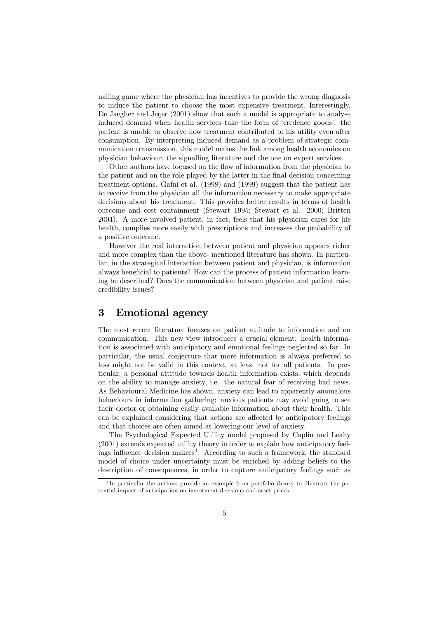nalling game where the physician has incentives to provide the wrong diagnosis to induce the patient to choose the most expensive treatment. Interestingly, De Jaegher and Jeger (2001) show that such a model is appropriate to analyse induced demand when health services take the form of 'credence goods': the patient is unable to observe how treatment contributed to his utility even after consumption. By interpreting induced demand as a problem of strategic communication transmission, this model makes the link among health economics on physician behaviour, the signalling literature and the one on expert services.

Other authors have focused on the flow of information from the physician to the patient and on the role played by the latter in the final decision concerning treatment options. Gafni et al. (1998) and (1999) suggest that the patient has to receive from the physician all the information necessary to make appropriate decisions about his treatment. This provides better results in terms of health outcome and cost containment (Stewart 1995; Stewart et al. 2000; Britten 2004). A more involved patient, in fact, feels that his physician cares for his health, complies more easily with prescriptions and increases the probability of a positive outcome.

However the real interaction between patient and physician appears richer and more complex than the above- mentioned literature has shown. In particular, in the strategical interaction between patient and physician, is information always beneficial to patients? How can the process of patient information learning be described? Does the communication between physician and patient raise credibility issues?

### 3 Emotional agency

The most recent literature focuses on patient attitude to information and on communication. This new view introduces a crucial element: health information is associated with anticipatory and emotional feelings neglected so far. In particular, the usual conjecture that more information is always preferred to less might not be valid in this context, at least not for all patients. In particular, a personal attitude towards health information exists, which depends on the ability to manage anxiety, i.e. the natural fear of receiving bad news. As Behavioural Medicine has shown, anxiety can lead to apparently anomalous behaviours in information gathering: anxious patients may avoid going to see their doctor or obtaining easily available information about their health. This can be explained considering that actions are affected by anticipatory feelings and that choices are often aimed at lowering our level of anxiety.

The Psychological Expected Utility model proposed by Caplin and Leahy (2001) extends expected utility theory in order to explain how anticipatory feelings influence decision makers<sup>4</sup>. According to such a framework, the standard model of choice under uncertainty must be enriched by adding beliefs to the description of consequences, in order to capture anticipatory feelings such as

<sup>&</sup>lt;sup>4</sup>In particular the authors provide an example from portfolio theory to illustrate the potential impact of anticipation on investment decisions and asset prices.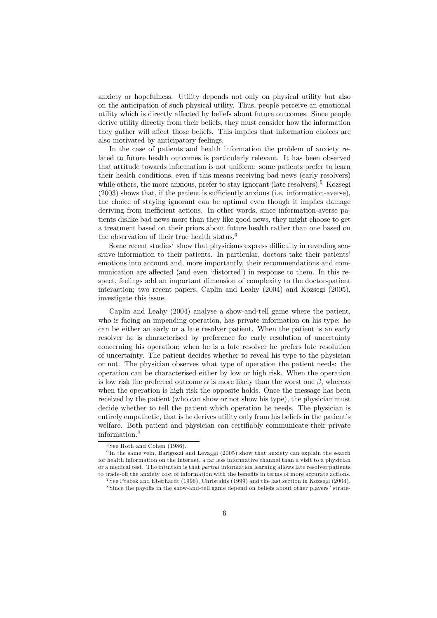anxiety or hopefulness. Utility depends not only on physical utility but also on the anticipation of such physical utility. Thus, people perceive an emotional utility which is directly affected by beliefs about future outcomes. Since people derive utility directly from their beliefs, they must consider how the information they gather will affect those beliefs. This implies that information choices are also motivated by anticipatory feelings.

In the case of patients and health information the problem of anxiety related to future health outcomes is particularly relevant. It has been observed that attitude towards information is not uniform: some patients prefer to learn their health conditions, even if this means receiving bad news (early resolvers) while others, the more anxious, prefer to stay ignorant (late resolvers).<sup>5</sup> Kozsegi (2003) shows that, if the patient is sufficiently anxious (i.e. information-averse), the choice of staying ignorant can be optimal even though it implies damage deriving from inefficient actions. In other words, since information-averse patients dislike bad news more than they like good news, they might choose to get a treatment based on their priors about future health rather than one based on the observation of their true health status.<sup>6</sup>

Some recent studies<sup>7</sup> show that physicians express difficulty in revealing sensitive information to their patients. In particular, doctors take their patients' emotions into account and, more importantly, their recommendations and communication are affected (and even 'distorted') in response to them. In this respect, feelings add an important dimension of complexity to the doctor-patient interaction; two recent papers, Caplin and Leahy (2004) and Kozsegi (2005), investigate this issue.

Caplin and Leahy (2004) analyse a show-and-tell game where the patient, who is facing an impending operation, has private information on his type: he can be either an early or a late resolver patient. When the patient is an early resolver he is characterised by preference for early resolution of uncertainty concerning his operation; when he is a late resolver he prefers late resolution of uncertainty. The patient decides whether to reveal his type to the physician or not. The physician observes what type of operation the patient needs: the operation can be characterised either by low or high risk. When the operation is low risk the preferred outcome  $\alpha$  is more likely than the worst one  $\beta$ , whereas when the operation is high risk the opposite holds. Once the message has been received by the patient (who can show or not show his type), the physician must decide whether to tell the patient which operation he needs. The physician is entirely empathetic, that is he derives utility only from his beliefs in the patient's welfare. Both patient and physician can certifiably communicate their private information.8

<sup>&</sup>lt;sup>5</sup> See Roth and Cohen (1986).

 $6$ In the same vein, Barigozzi and Levaggi (2005) show that anxiety can explain the search for health information on the Internet, a far less informative channel than a visit to a physician or a medical test. The intuition is that partial information learning allows late resolver patients to trade-off the anxiety cost of information with the benefits in terms of more accurate actions.

<sup>7</sup> See Ptacek and Eberhardt (1996), Christakis (1999) and the last section in Kozsegi (2004).

<sup>8</sup> Since the payoffs in the show-and-tell game depend on beliefs about other players' strate-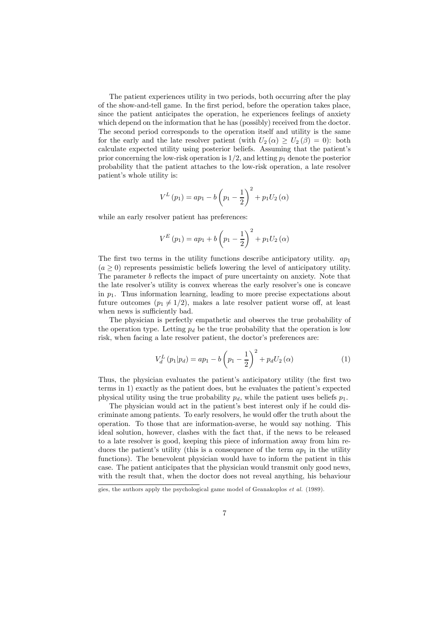The patient experiences utility in two periods, both occurring after the play of the show-and-tell game. In the first period, before the operation takes place, since the patient anticipates the operation, he experiences feelings of anxiety which depend on the information that he has (possibly) received from the doctor. The second period corresponds to the operation itself and utility is the same for the early and the late resolver patient (with  $U_2(\alpha) \geq U_2(\beta) = 0$ ): both calculate expected utility using posterior beliefs. Assuming that the patient's prior concerning the low-risk operation is  $1/2$ , and letting  $p_1$  denote the posterior probability that the patient attaches to the low-risk operation, a late resolver patient's whole utility is:

$$
V^{L}(p_{1}) = ap_{1} - b\left(p_{1} - \frac{1}{2}\right)^{2} + p_{1}U_{2}(\alpha)
$$

while an early resolver patient has preferences:

$$
V^{E}(p_{1}) = ap_{1} + b\left(p_{1} - \frac{1}{2}\right)^{2} + p_{1}U_{2}(\alpha)
$$

The first two terms in the utility functions describe anticipatory utility.  $ap_1$  $(a > 0)$  represents pessimistic beliefs lowering the level of anticipatory utility. The parameter b reflects the impact of pure uncertainty on anxiety. Note that the late resolver's utility is convex whereas the early resolver's one is concave in  $p_1$ . Thus information learning, leading to more precise expectations about future outcomes  $(p_1 \neq 1/2)$ , makes a late resolver patient worse off, at least when news is sufficiently bad.

The physician is perfectly empathetic and observes the true probability of the operation type. Letting  $p_d$  be the true probability that the operation is low risk, when facing a late resolver patient, the doctor's preferences are:

$$
V_d^L(p_1|p_d) = ap_1 - b\left(p_1 - \frac{1}{2}\right)^2 + p_d U_2(\alpha)
$$
 (1)

Thus, the physician evaluates the patient's anticipatory utility (the first two terms in 1) exactly as the patient does, but he evaluates the patient's expected physical utility using the true probability  $p_d$ , while the patient uses beliefs  $p_1$ .

The physician would act in the patient's best interest only if he could discriminate among patients. To early resolvers, he would offer the truth about the operation. To those that are information-averse, he would say nothing. This ideal solution, however, clashes with the fact that, if the news to be released to a late resolver is good, keeping this piece of information away from him reduces the patient's utility (this is a consequence of the term  $ap_1$  in the utility functions). The benevolent physician would have to inform the patient in this case. The patient anticipates that the physician would transmit only good news, with the result that, when the doctor does not reveal anything, his behaviour

gies, the authors apply the psychological game model of Geanakoplos et al. (1989).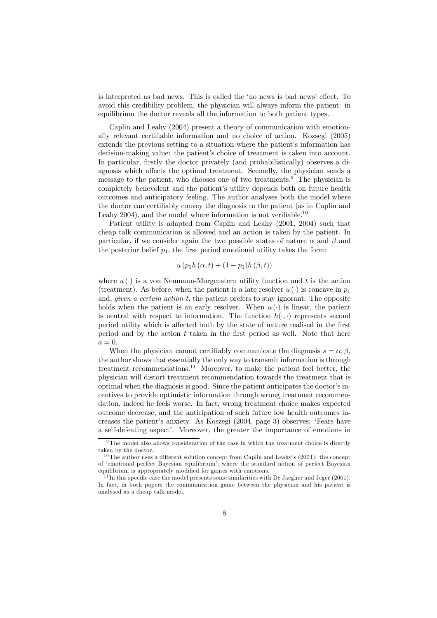is interpreted as bad news. This is called the 'no news is bad news' effect. To avoid this credibility problem, the physician will always inform the patient: in equilibrium the doctor reveals all the information to both patient types.

Caplin and Leahy (2004) present a theory of communication with emotionally relevant certifiable information and no choice of action. Kozsegi (2005) extends the previous setting to a situation where the patient's information has decision-making value: the patient's choice of treatment is taken into account. In particular, firstly the doctor privately (and probabilistically) observes a diagnosis which affects the optimal treatment. Secondly, the physician sends a message to the patient, who chooses one of two treatments.<sup>9</sup> The physician is completely benevolent and the patient's utility depends both on future health outcomes and anticipatory feeling. The author analyses both the model where the doctor can certifiably convey the diagnosis to the patient (as in Caplin and Leahy 2004), and the model where information is not verifiable.<sup>10</sup>

Patient utility is adapted from Caplin and Leahy (2001, 2004) such that cheap talk communication is allowed and an action is taken by the patient. In particular, if we consider again the two possible states of nature  $\alpha$  and  $\beta$  and the posterior belief  $p_1$ , the first period emotional utility takes the form:

$$
u\left(p_1h\left(\alpha,t\right) + (1-p_1)h\left(\beta,t\right)\right)
$$

where  $u(\cdot)$  is a von Neumann-Morgenstern utility function and t is the action (treatment). As before, when the patient is a late resolver  $u(\cdot)$  is concave in  $p_1$ and, *given a certain action t*, the patient prefers to stay ignorant. The opposite holds when the patient is an early resolver. When  $u(\cdot)$  is linear, the patient is neutral with respect to information. The function  $h(\cdot, \cdot)$  represents second period utility which is affected both by the state of nature realised in the first period and by the action t taken in the first period as well. Note that here  $a=0.$ 

When the physician cannot certifiably communicate the diagnosis  $s = \alpha, \beta$ , the author shows that essentially the only way to transmit information is through treatment recommendations.<sup>11</sup> Moreover, to make the patient feel better, the physician will distort treatment recommendation towards the treatment that is optimal when the diagnosis is good. Since the patient anticipates the doctor's incentives to provide optimistic information through wrong treatment recommendation, indeed he feels worse. In fact, wrong treatment choice makes expected outcome decrease, and the anticipation of such future low health outcomes increases the patient's anxiety. As Koszegi (2004, page 3) observes: 'Fears have a self-defeating aspect'. Moreover, the greater the importance of emotions in

<sup>&</sup>lt;sup>9</sup>The model also allows consideration of the case in which the treatment choice is directly taken by the doctor.

 $10$ The author uses a different solution concept from Caplin and Leahy's (2004): the concept of 'emotional perfect Bayesian equilibrium', where the standard notion of perfect Bayesian equilibrium is appropriately modified for games with emotions.

<sup>&</sup>lt;sup>11</sup> In this specific case the model presents some similarities with De Jaegher and Jeger  $(2001)$ . In fact, in both papers the communication game between the physician and his patient is analysed as a cheap talk model.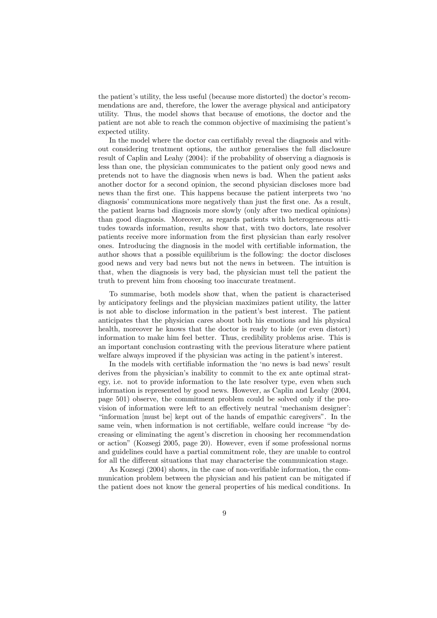the patient's utility, the less useful (because more distorted) the doctor's recommendations are and, therefore, the lower the average physical and anticipatory utility. Thus, the model shows that because of emotions, the doctor and the patient are not able to reach the common objective of maximising the patient's expected utility.

In the model where the doctor can certifiably reveal the diagnosis and without considering treatment options, the author generalises the full disclosure result of Caplin and Leahy (2004): if the probability of observing a diagnosis is less than one, the physician communicates to the patient only good news and pretends not to have the diagnosis when news is bad. When the patient asks another doctor for a second opinion, the second physician discloses more bad news than the first one. This happens because the patient interprets two 'no diagnosis' communications more negatively than just the first one. As a result, the patient learns bad diagnosis more slowly (only after two medical opinions) than good diagnosis. Moreover, as regards patients with heterogeneous attitudes towards information, results show that, with two doctors, late resolver patients receive more information from the first physician than early resolver ones. Introducing the diagnosis in the model with certifiable information, the author shows that a possible equilibrium is the following: the doctor discloses good news and very bad news but not the news in between. The intuition is that, when the diagnosis is very bad, the physician must tell the patient the truth to prevent him from choosing too inaccurate treatment.

To summarise, both models show that, when the patient is characterised by anticipatory feelings and the physician maximizes patient utility, the latter is not able to disclose information in the patient's best interest. The patient anticipates that the physician cares about both his emotions and his physical health, moreover he knows that the doctor is ready to hide (or even distort) information to make him feel better. Thus, credibility problems arise. This is an important conclusion contrasting with the previous literature where patient welfare always improved if the physician was acting in the patient's interest.

In the models with certifiable information the 'no news is bad news' result derives from the physician's inability to commit to the ex ante optimal strategy, i.e. not to provide information to the late resolver type, even when such information is represented by good news. However, as Caplin and Leahy (2004, page 501) observe, the commitment problem could be solved only if the provision of information were left to an effectively neutral 'mechanism designer': "information [must be] kept out of the hands of empathic caregivers". In the same vein, when information is not certifiable, welfare could increase "by decreasing or eliminating the agent's discretion in choosing her recommendation or action" (Kozsegi 2005, page 20). However, even if some professional norms and guidelines could have a partial commitment role, they are unable to control for all the different situations that may characterise the communication stage.

As Kozsegi (2004) shows, in the case of non-verifiable information, the communication problem between the physician and his patient can be mitigated if the patient does not know the general properties of his medical conditions. In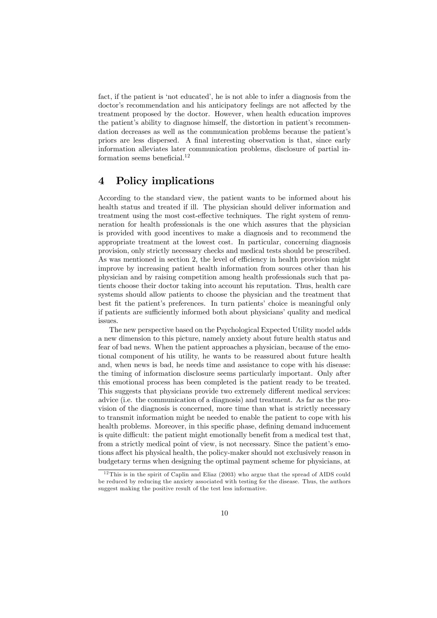fact, if the patient is 'not educated', he is not able to infer a diagnosis from the doctor's recommendation and his anticipatory feelings are not affected by the treatment proposed by the doctor. However, when health education improves the patient's ability to diagnose himself, the distortion in patient's recommendation decreases as well as the communication problems because the patient's priors are less dispersed. A final interesting observation is that, since early information alleviates later communication problems, disclosure of partial information seems beneficial.<sup>12</sup>

### 4 Policy implications

According to the standard view, the patient wants to be informed about his health status and treated if ill. The physician should deliver information and treatment using the most cost-effective techniques. The right system of remuneration for health professionals is the one which assures that the physician is provided with good incentives to make a diagnosis and to recommend the appropriate treatment at the lowest cost. In particular, concerning diagnosis provision, only strictly necessary checks and medical tests should be prescribed. As was mentioned in section 2, the level of efficiency in health provision might improve by increasing patient health information from sources other than his physician and by raising competition among health professionals such that patients choose their doctor taking into account his reputation. Thus, health care systems should allow patients to choose the physician and the treatment that best fit the patient's preferences. In turn patients' choice is meaningful only if patients are sufficiently informed both about physicians' quality and medical issues.

The new perspective based on the Psychological Expected Utility model adds a new dimension to this picture, namely anxiety about future health status and fear of bad news. When the patient approaches a physician, because of the emotional component of his utility, he wants to be reassured about future health and, when news is bad, he needs time and assistance to cope with his disease: the timing of information disclosure seems particularly important. Only after this emotional process has been completed is the patient ready to be treated. This suggests that physicians provide two extremely different medical services: advice (i.e. the communication of a diagnosis) and treatment. As far as the provision of the diagnosis is concerned, more time than what is strictly necessary to transmit information might be needed to enable the patient to cope with his health problems. Moreover, in this specific phase, defining demand inducement is quite difficult: the patient might emotionally benefit from a medical test that, from a strictly medical point of view, is not necessary. Since the patient's emotions affect his physical health, the policy-maker should not exclusively reason in budgetary terms when designing the optimal payment scheme for physicians, at

 $12$ This is in the spirit of Caplin and Eliaz (2003) who argue that the spread of AIDS could be reduced by reducing the anxiety associated with testing for the disease. Thus, the authors suggest making the positive result of the test less informative.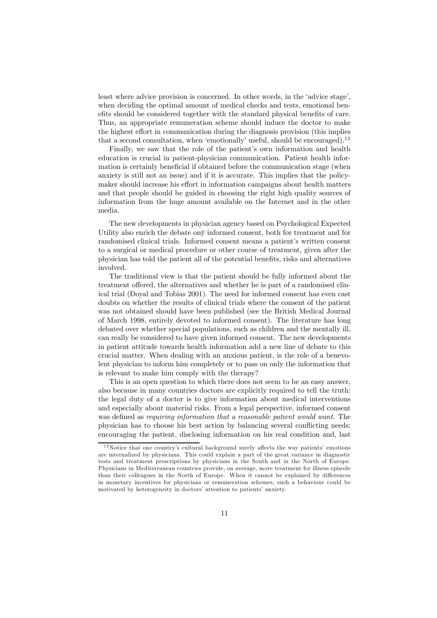least where advice provision is concerned. In other words, in the 'advice stage', when deciding the optimal amount of medical checks and tests, emotional benefits should be considered together with the standard physical benefits of care. Thus, an appropriate remuneration scheme should induce the doctor to make the highest effort in communication during the diagnosis provision (this implies that a second consultation, when 'emotionally' useful, should be encouraged).<sup>13</sup>

Finally, we saw that the role of the patient's own information and health education is crucial in patient-physician communication. Patient health information is certainly beneficial if obtained before the communication stage (when anxiety is still not an issue) and if it is accurate. This implies that the policymaker should increase his effort in information campaigns about health matters and that people should be guided in choosing the right high quality sources of information from the huge amount available on the Internet and in the other media.

The new developments in physician agency based on Psychological Expected Utility also enrich the debate onÿ informed consent, both for treatment and for randomised clinical trials. Informed consent means a patient's written consent to a surgical or medical procedure or other course of treatment, given after the physician has told the patient all of the potential benefits, risks and alternatives involved.

The traditional view is that the patient should be fully informed about the treatment offered, the alternatives and whether he is part of a randomised clinical trial (Doyal and Tobias 2001). The need for informed consent has even cast doubts on whether the results of clinical trials where the consent of the patient was not obtained should have been published (see the British Medical Journal of March 1998, entirely devoted to informed consent). The literature has long debated over whether special populations, such as children and the mentally ill, can really be considered to have given informed consent. The new developments in patient attitude towards health information add a new line of debate to this crucial matter. When dealing with an anxious patient, is the role of a benevolent physician to inform him completely or to pass on only the information that is relevant to make him comply with the therapy?

This is an open question to which there does not seem to be an easy answer, also because in many countries doctors are explicitly required to tell the truth: the legal duty of a doctor is to give information about medical interventions and especially about material risks. From a legal perspective, informed consent was defined as *requiring information that a reasonable patient would want*. The physician has to choose his best action by balancing several conflicting needs: encouraging the patient, disclosing information on his real condition and, last

 $13$  Notice that one country's cultural background surely affects the way patients' emotions are internalized by physicians. This could explain a part of the great variance in diagnostic tests and treatment prescriptions by physicians in the South and in the North of Europe. Physicians in Mediterranean countries provide, on average, more treatment for illness episode than their colleagues in the North of Europe. When it cannot be explained by differences in monetary incentives for physicians or remuneration schemes, such a behaviour could be motivated by heterogeneity in doctors' attention to patients' anxiety.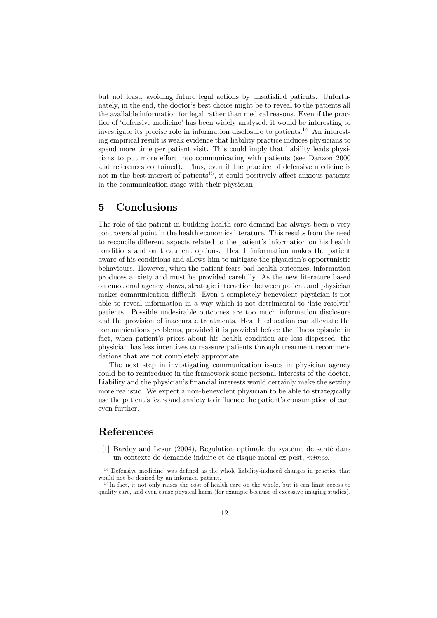but not least, avoiding future legal actions by unsatisfied patients. Unfortunately, in the end, the doctor's best choice might be to reveal to the patients all the available information for legal rather than medical reasons. Even if the practice of 'defensive medicine' has been widely analysed, it would be interesting to investigate its precise role in information disclosure to patients.<sup>14</sup> An interesting empirical result is weak evidence that liability practice induces physicians to spend more time per patient visit. This could imply that liability leads physicians to put more effort into communicating with patients (see Danzon 2000 and references contained). Thus, even if the practice of defensive medicine is not in the best interest of patients<sup>15</sup>, it could positively affect anxious patients in the communication stage with their physician.

## 5 Conclusions

The role of the patient in building health care demand has always been a very controversial point in the health economics literature. This results from the need to reconcile different aspects related to the patient's information on his health conditions and on treatment options. Health information makes the patient aware of his conditions and allows him to mitigate the physician's opportunistic behaviours. However, when the patient fears bad health outcomes, information produces anxiety and must be provided carefully. As the new literature based on emotional agency shows, strategic interaction between patient and physician makes communication difficult. Even a completely benevolent physician is not able to reveal information in a way which is not detrimental to 'late resolver' patients. Possible undesirable outcomes are too much information disclosure and the provision of inaccurate treatments. Health education can alleviate the communications problems, provided it is provided before the illness episode; in fact, when patient's priors about his health condition are less dispersed, the physician has less incentives to reassure patients through treatment recommendations that are not completely appropriate.

The next step in investigating communication issues in physician agency could be to reintroduce in the framework some personal interests of the doctor. Liability and the physician's financial interests would certainly make the setting more realistic. We expect a non-benevolent physician to be able to strategically use the patient's fears and anxiety to influence the patient's consumption of care even further.

# References

[1] Bardey and Lesur (2004), Régulation optimale du système de santé dans un contexte de demande induite et de risque moral ex post, mimeo.

<sup>&</sup>lt;sup>14</sup> Defensive medicine' was defined as the whole liability-induced changes in practice that would not be desired by an informed patient.

<sup>&</sup>lt;sup>15</sup>In fact, it not only raises the cost of health care on the whole, but it can limit access to quality care, and even cause physical harm (for example because of excessive imaging studies).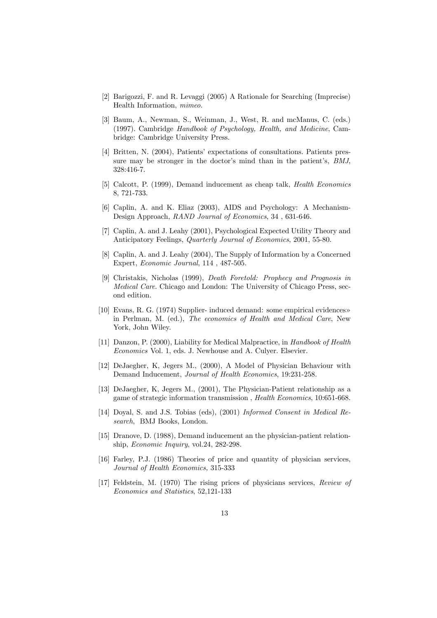- [2] Barigozzi, F. and R. Levaggi (2005) A Rationale for Searching (Imprecise) Health Information, mimeo.
- [3] Baum, A., Newman, S., Weinman, J., West, R. and mcManus, C. (eds.) (1997). Cambridge Handbook of Psychology, Health, and Medicine, Cambridge: Cambridge University Press.
- [4] Britten, N. (2004), Patients' expectations of consultations. Patients pressure may be stronger in the doctor's mind than in the patient's, BMJ, 328:416-7.
- [5] Calcott, P. (1999), Demand inducement as cheap talk, Health Economics 8, 721-733.
- [6] Caplin, A. and K. Eliaz (2003), AIDS and Psychology: A Mechanism-Design Approach, RAND Journal of Economics, 34 , 631-646.
- [7] Caplin, A. and J. Leahy (2001), Psychological Expected Utility Theory and Anticipatory Feelings, Quarterly Journal of Economics, 2001, 55-80.
- [8] Caplin, A. and J. Leahy (2004), The Supply of Information by a Concerned Expert, Economic Journal, 114 , 487-505.
- [9] Christakis, Nicholas (1999), Death Foretold: Prophecy and Prognosis in Medical Care. Chicago and London: The University of Chicago Press, second edition.
- [10] Evans, R. G. (1974) Supplier- induced demand: some empirical evidences» in Perlman, M. (ed.), The economics of Health and Medical Care, New York, John Wiley.
- [11] Danzon, P. (2000), Liability for Medical Malpractice, in Handbook of Health Economics Vol. 1, eds. J. Newhouse and A. Culyer. Elsevier.
- [12] DeJaegher, K, Jegers M., (2000), A Model of Physician Behaviour with Demand Inducement, Journal of Health Economics, 19:231-258.
- [13] DeJaegher, K, Jegers M., (2001), The Physician-Patient relationship as a game of strategic information transmission , Health Economics, 10:651-668.
- [14] Doyal, S. and J.S. Tobias (eds), (2001) Informed Consent in Medical Research, BMJ Books, London.
- [15] Dranove, D. (1988), Demand inducement an the physician-patient relationship, Economic Inquiry, vol.24, 282-298.
- [16] Farley, P.J. (1986) Theories of price and quantity of physician services, Journal of Health Economics, 315-333
- [17] Feldstein, M. (1970) The rising prices of physicians services, Review of Economics and Statistics, 52,121-133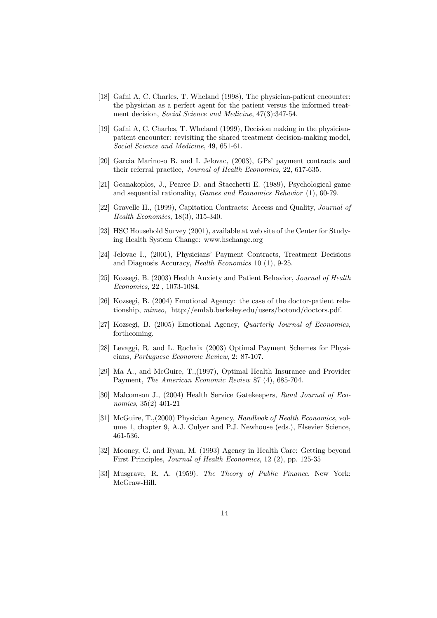- [18] Gafni A, C. Charles, T. Wheland (1998), The physician-patient encounter: the physician as a perfect agent for the patient versus the informed treatment decision, *Social Science and Medicine*, 47(3):347-54.
- [19] Gafni A, C. Charles, T. Wheland (1999), Decision making in the physicianpatient encounter: revisiting the shared treatment decision-making model, Social Science and Medicine, 49, 651-61.
- [20] Garcia Marinoso B. and I. Jelovac, (2003), GPs' payment contracts and their referral practice, Journal of Health Economics, 22, 617-635.
- [21] Geanakoplos, J., Pearce D. and Stacchetti E. (1989), Psychological game and sequential rationality, Games and Economics Behavior (1), 60-79.
- [22] Gravelle H., (1999), Capitation Contracts: Access and Quality, Journal of Health Economics, 18(3), 315-340.
- [23] HSC Household Survey (2001), available at web site of the Center for Studying Health System Change: www.hschange.org
- [24] Jelovac I., (2001), Physicians' Payment Contracts, Treatment Decisions and Diagnosis Accuracy, Health Economics 10 (1), 9-25.
- [25] Kozsegi, B. (2003) Health Anxiety and Patient Behavior, Journal of Health Economics, 22 , 1073-1084.
- [26] Kozsegi, B. (2004) Emotional Agency: the case of the doctor-patient relationship, mimeo, http://emlab.berkeley.edu/users/botond/doctors.pdf.
- [27] Kozsegi, B. (2005) Emotional Agency, Quarterly Journal of Economics, forthcoming.
- [28] Levaggi, R. and L. Rochaix (2003) Optimal Payment Schemes for Physicians, Portuguese Economic Review, 2: 87-107.
- [29] Ma A., and McGuire, T.,(1997), Optimal Health Insurance and Provider Payment, The American Economic Review 87 (4), 685-704.
- [30] Malcomson J., (2004) Health Service Gatekeepers, Rand Journal of Economics, 35(2) 401-21
- [31] McGuire, T., (2000) Physician Agency, Handbook of Health Economics, volume 1, chapter 9, A.J. Culyer and P.J. Newhouse (eds.), Elsevier Science, 461-536.
- [32] Mooney, G. and Ryan, M. (1993) Agency in Health Care: Getting beyond First Principles, Journal of Health Economics, 12 (2), pp. 125-35
- [33] Musgrave, R. A. (1959). The Theory of Public Finance. New York: McGraw-Hill.